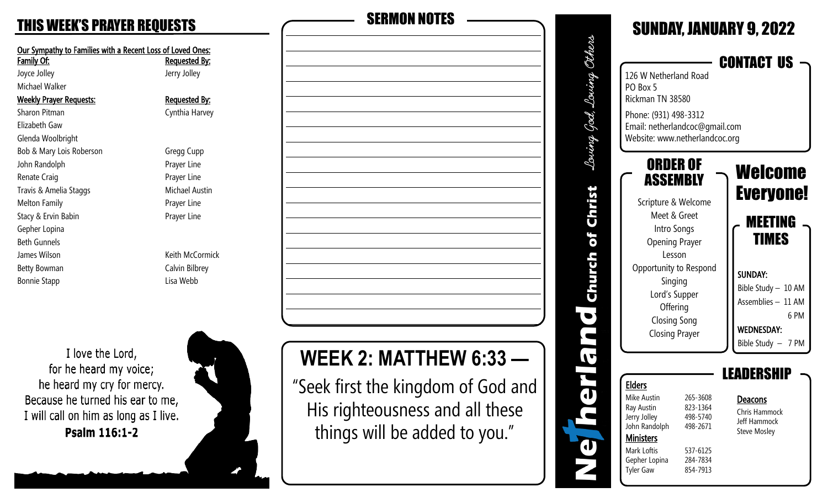| Our Sympathy to Families with a Recent Loss of Loved Ones:<br><b>Family Of:</b> | <b>Requested By:</b> |
|---------------------------------------------------------------------------------|----------------------|
| Joyce Jolley                                                                    | Jerry Jolley         |
| Michael Walker                                                                  |                      |
| <b>Weekly Prayer Requests:</b>                                                  | <b>Requested By:</b> |
| Sharon Pitman                                                                   | Cynthia Harvey       |
| Flizabeth Gaw                                                                   |                      |
| Glenda Woolbright                                                               |                      |
| Bob & Mary Lois Roberson                                                        | Gregg Cupp           |
| John Randolph                                                                   | Prayer Line          |
| Renate Craig                                                                    | Prayer Line          |
| Travis & Amelia Staggs                                                          | Michael Austin       |
| <b>Melton Family</b>                                                            | Prayer Line          |
| Stacy & Ervin Babin                                                             | Prayer Line          |
| Gepher Lopina                                                                   |                      |
| <b>Beth Gunnels</b>                                                             |                      |
| James Wilson                                                                    | Keith McCormick      |
| Betty Bowman                                                                    | Calvin Bilbrey       |
| <b>Bonnie Stapp</b>                                                             | Lisa Webb            |
|                                                                                 |                      |
|                                                                                 |                      |
|                                                                                 |                      |
|                                                                                 |                      |

I love the Lord, for he heard my voice; he heard my cry for mercy. Because he turned his ear to me, I will call on him as long as I live. Psalm 116:1-2



# THIS WEEK'S PRAYER REQUESTS SERMON NOTES

# **WEEK 2: MATTHEW 6:33 —**

"Seek first the kingdom of God and His righteousness and all these things will be added to you."

| 126 W Netherland Road<br>PO Box 5<br>Rickman TN 38580<br>Phone: (931) 498-3312<br>Email: netherlandcoc@gmail.com<br>Website: www.netherlandcoc.org                                                                              |                                                                                  | <b>SUNDAY, JANUARY 9, 2022</b><br><b>CONTACT US</b>                                                                                                                      |
|---------------------------------------------------------------------------------------------------------------------------------------------------------------------------------------------------------------------------------|----------------------------------------------------------------------------------|--------------------------------------------------------------------------------------------------------------------------------------------------------------------------|
| ORDER OF<br>ASSEMBLY<br>Scripture & Welcome<br>Meet & Greet<br>Intro Songs<br><b>Opening Prayer</b><br>Lesson<br>Opportunity to Respond<br>Singing<br>Lord's Supper<br>Offering<br><b>Closing Song</b><br><b>Closing Prayer</b> |                                                                                  | Welcome<br><b>Everyone!</b><br><b>MEETING</b><br>TIMES<br><b>SUNDAY:</b><br>Bible Study - 10 AM<br>Assemblies - 11 AM<br>6 PM<br><b>WEDNESDAY:</b><br>Bible Study - 7 PM |
| <b>Elders</b><br>Mike Austin<br>Ray Austin<br>Jerry Jolley<br>John Randolph<br><b>Ministers</b><br>Mark Loftis<br>Gepher Lopina<br><b>Tyler Gaw</b>                                                                             | 265-3608<br>823-1364<br>498-5740<br>498-2671<br>537-6125<br>284-7834<br>854-7913 | LEADERSH<br>Deacons<br>Chris Hammock<br>Jeff Hammock<br><b>Steve Mosley</b>                                                                                              |